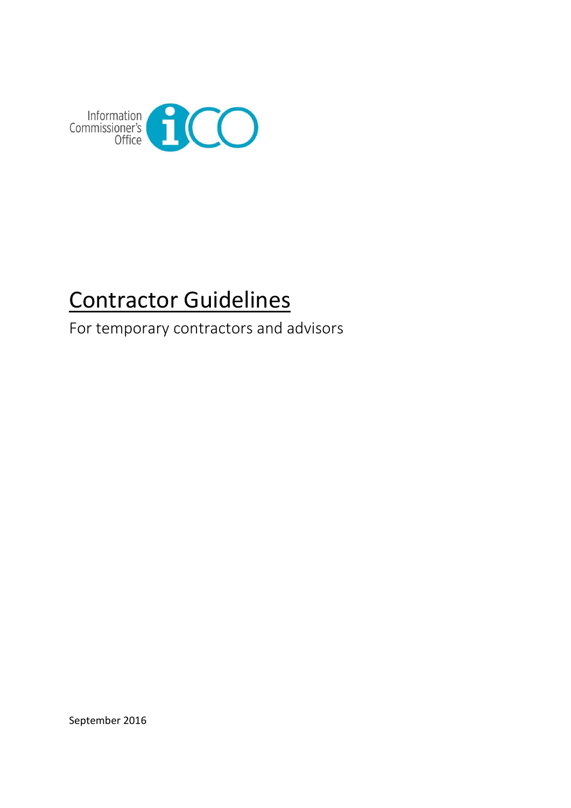

# Contractor Guidelines

For temporary contractors and advisors

September 2016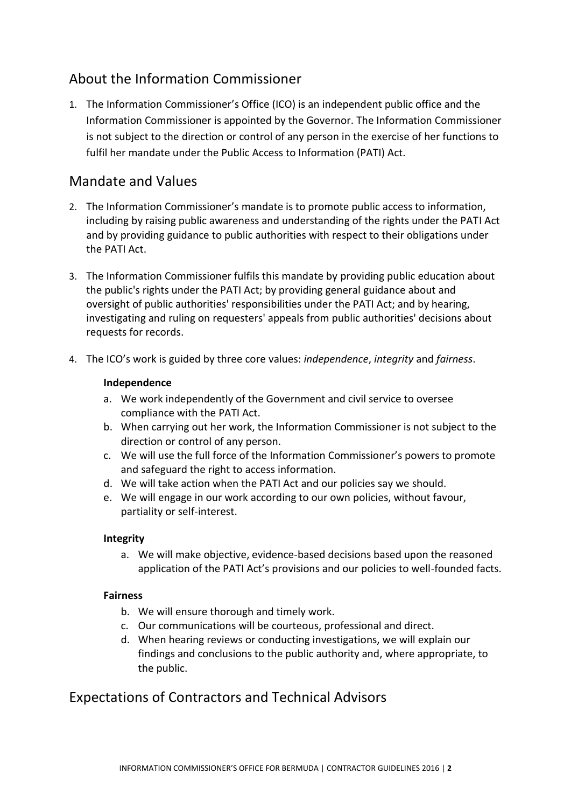# About the Information Commissioner

1. The Information Commissioner's Office (ICO) is an independent public office and the Information Commissioner is appointed by the Governor. The Information Commissioner is not subject to the direction or control of any person in the exercise of her functions to fulfil her mandate under the Public Access to Information (PATI) Act.

## Mandate and Values

- 2. The Information Commissioner's mandate is to promote public access to information, including by raising public awareness and understanding of the rights under the PATI Act and by providing guidance to public authorities with respect to their obligations under the PATI Act.
- 3. The Information Commissioner fulfils this mandate by providing public education about the public's rights under the PATI Act; by providing general guidance about and oversight of public authorities' responsibilities under the PATI Act; and by hearing, investigating and ruling on requesters' appeals from public authorities' decisions about requests for records.
- 4. The ICO's work is guided by three core values: *independence*, *integrity* and *fairness*.

#### **Independence**

- a. We work independently of the Government and civil service to oversee compliance with the PATI Act.
- b. When carrying out her work, the Information Commissioner is not subject to the direction or control of any person.
- c. We will use the full force of the Information Commissioner's powers to promote and safeguard the right to access information.
- d. We will take action when the PATI Act and our policies say we should.
- e. We will engage in our work according to our own policies, without favour, partiality or self-interest.

#### **Integrity**

a. We will make objective, evidence-based decisions based upon the reasoned application of the PATI Act's provisions and our policies to well-founded facts.

#### **Fairness**

- b. We will ensure thorough and timely work.
- c. Our communications will be courteous, professional and direct.
- d. When hearing reviews or conducting investigations, we will explain our findings and conclusions to the public authority and, where appropriate, to the public.

## Expectations of Contractors and Technical Advisors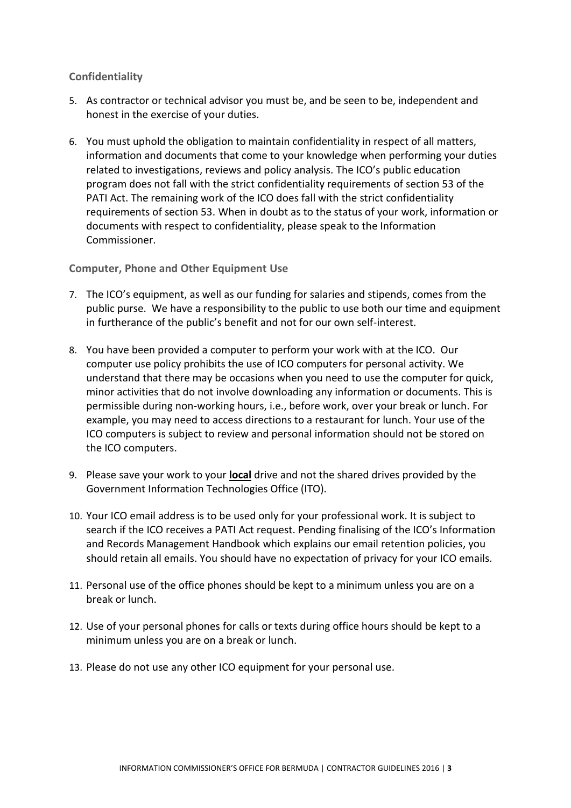#### **Confidentiality**

- 5. As contractor or technical advisor you must be, and be seen to be, independent and honest in the exercise of your duties.
- 6. You must uphold the obligation to maintain confidentiality in respect of all matters, information and documents that come to your knowledge when performing your duties related to investigations, reviews and policy analysis. The ICO's public education program does not fall with the strict confidentiality requirements of section 53 of the PATI Act. The remaining work of the ICO does fall with the strict confidentiality requirements of section 53. When in doubt as to the status of your work, information or documents with respect to confidentiality, please speak to the Information Commissioner.

**Computer, Phone and Other Equipment Use**

- 7. The ICO's equipment, as well as our funding for salaries and stipends, comes from the public purse. We have a responsibility to the public to use both our time and equipment in furtherance of the public's benefit and not for our own self-interest.
- 8. You have been provided a computer to perform your work with at the ICO. Our computer use policy prohibits the use of ICO computers for personal activity. We understand that there may be occasions when you need to use the computer for quick, minor activities that do not involve downloading any information or documents. This is permissible during non-working hours, i.e., before work, over your break or lunch. For example, you may need to access directions to a restaurant for lunch. Your use of the ICO computers is subject to review and personal information should not be stored on the ICO computers.
- 9. Please save your work to your **local** drive and not the shared drives provided by the Government Information Technologies Office (ITO).
- 10. Your ICO email address is to be used only for your professional work. It is subject to search if the ICO receives a PATI Act request. Pending finalising of the ICO's Information and Records Management Handbook which explains our email retention policies, you should retain all emails. You should have no expectation of privacy for your ICO emails.
- 11. Personal use of the office phones should be kept to a minimum unless you are on a break or lunch.
- 12. Use of your personal phones for calls or texts during office hours should be kept to a minimum unless you are on a break or lunch.
- 13. Please do not use any other ICO equipment for your personal use.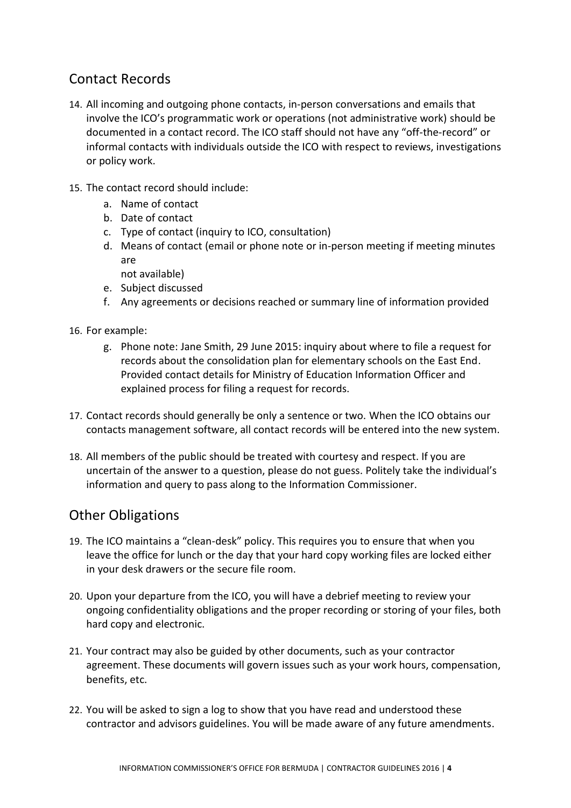## Contact Records

- 14. All incoming and outgoing phone contacts, in-person conversations and emails that involve the ICO's programmatic work or operations (not administrative work) should be documented in a contact record. The ICO staff should not have any "off-the-record" or informal contacts with individuals outside the ICO with respect to reviews, investigations or policy work.
- 15. The contact record should include:
	- a. Name of contact
	- b. Date of contact
	- c. Type of contact (inquiry to ICO, consultation)
	- d. Means of contact (email or phone note or in-person meeting if meeting minutes are
		- not available)
	- e. Subject discussed
	- f. Any agreements or decisions reached or summary line of information provided
- 16. For example:
	- g. Phone note: Jane Smith, 29 June 2015: inquiry about where to file a request for records about the consolidation plan for elementary schools on the East End. Provided contact details for Ministry of Education Information Officer and explained process for filing a request for records.
- 17. Contact records should generally be only a sentence or two. When the ICO obtains our contacts management software, all contact records will be entered into the new system.
- 18. All members of the public should be treated with courtesy and respect. If you are uncertain of the answer to a question, please do not guess. Politely take the individual's information and query to pass along to the Information Commissioner.

### Other Obligations

- 19. The ICO maintains a "clean-desk" policy. This requires you to ensure that when you leave the office for lunch or the day that your hard copy working files are locked either in your desk drawers or the secure file room.
- 20. Upon your departure from the ICO, you will have a debrief meeting to review your ongoing confidentiality obligations and the proper recording or storing of your files, both hard copy and electronic.
- 21. Your contract may also be guided by other documents, such as your contractor agreement. These documents will govern issues such as your work hours, compensation, benefits, etc.
- 22. You will be asked to sign a log to show that you have read and understood these contractor and advisors guidelines. You will be made aware of any future amendments.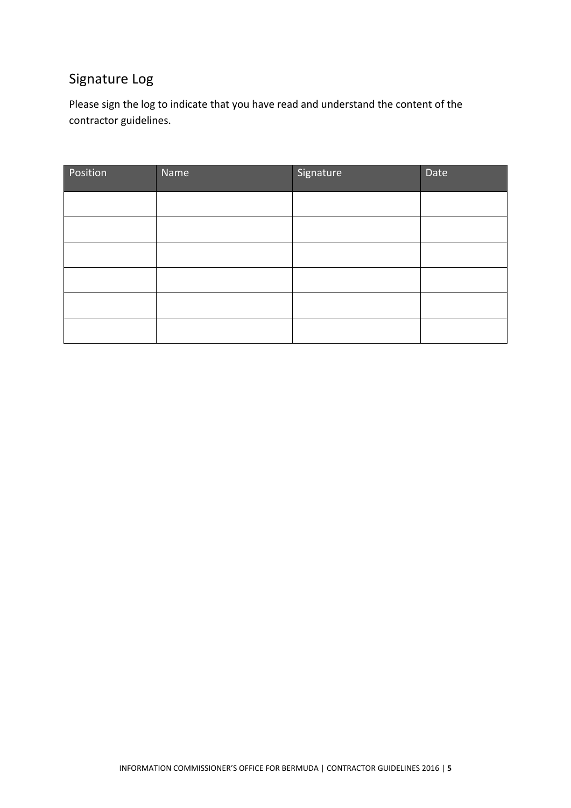# Signature Log

Please sign the log to indicate that you have read and understand the content of the contractor guidelines.

| Position | Name | Signature | Date |
|----------|------|-----------|------|
|          |      |           |      |
|          |      |           |      |
|          |      |           |      |
|          |      |           |      |
|          |      |           |      |
|          |      |           |      |